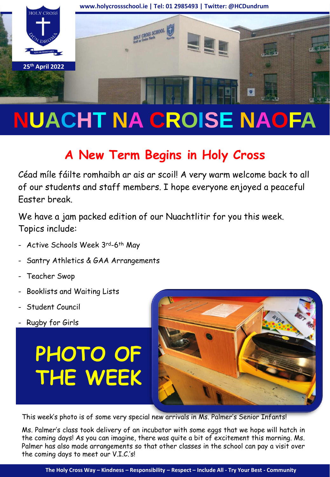

# **NUACHT NA CROISE NAOFA**

# **A New Term Begins in Holy Cross**

Céad míle fáilte romhaibh ar ais ar scoil! A very warm welcome back to all of our students and staff members. I hope everyone enjoyed a peaceful Easter break.

We have a jam packed edition of our Nuachtlitir for you this week. Topics include:

- Active Schools Week 3rd-6th May
- Santry Athletics & GAA Arrangements
- Teacher Swop
- Booklists and Waiting Lists
- Student Council
- Rugby for Girls

# **PHOTO OF THE WEEK**



This week's photo is of some very special new arrivals in Ms. Palmer's Senior Infants!

Ms. Palmer's class took delivery of an incubator with some eggs that we hope will hatch in the coming days! As you can imagine, there was quite a bit of excitement this morning. Ms. Palmer has also made arrangements so that other classes in the school can pay a visit over the coming days to meet our V.I.C.'s!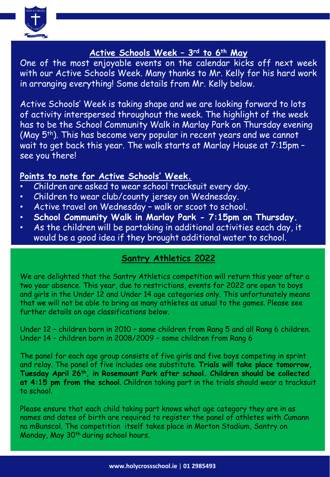

#### **Active Schools Week – 3rd to 6th May**

One of the most enjoyable events on the calendar kicks off next week with our Active Schools Week. Many thanks to Mr. Kelly for his hard work in arranging everything! Some details from Mr. Kelly below.

Active Schools' Week is taking shape and we are looking forward to lots of activity interspersed throughout the week. The highlight of the week has to be the School Community Walk in Marlay Park on Thursday evening (May 5<sup>th</sup>). This has become very popular in recent years and we cannot wait to get back this year. The walk starts at Marlay House at 7:15pm – see you there!

#### **Points to note for Active Schools' Week.**

- Children are asked to wear school tracksuit every day.
- Children to wear club/county jersey on Wednesday.
- Active travel on Wednesday walk or scoot to school.
- **School Community Walk in Marlay Park - 7:15pm on Thursday.**
- As the children will be partaking in additional activities each day, it would be a good idea if they brought additional water to school.

#### **Santry Athletics 2022**

We are delighted that the Santry Athletics competition will return this year after a two year absence. This year, due to restrictions, events for 2022 are open to boys and girls in the Under 12 and Under 14 age categories only. This unfortunately means that we will not be able to bring as many athletes as usual to the games. Please see further details on age classifications below.

Under 12 – children born in 2010 – some children from Rang 5 and all Rang 6 children. Under 14 – children born in 2008/2009 – some children from Rang 6

The panel for each age group consists of five girls and five boys competing in sprint and relay. The panel of five includes one substitute. **Trials will take place tomorrow, Tuesday April 26th, in Rosemount Park after school. Children should be collected at 4:15 pm from the school**. Children taking part in the trials should wear a tracksuit to school.

Please ensure that each child taking part knows what age category they are in as names and dates of birth are required to register the panel of athletes with Cumann na mBunscol. The competition itself takes place in Morton Stadium, Santry on Monday, May 30<sup>th</sup> during school hours.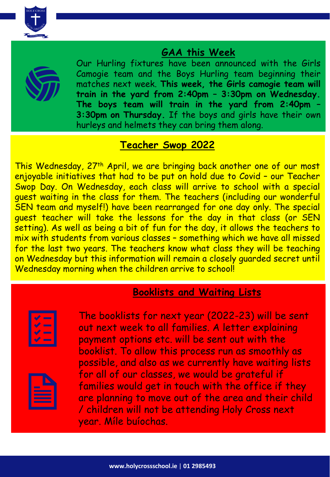

### **GAA this Week**



Our Hurling fixtures have been announced with the Girls Camogie team and the Boys Hurling team beginning their matches next week. **This week, the Girls camogie team will train in the yard from 2:40pm – 3:30pm on Wednesday. The boys team will train in the yard from 2:40pm – 3:30pm on Thursday.** If the boys and girls have their own hurleys and helmets they can bring them along.

## **Teacher Swop 2022**

This Wednesday, 27th April, we are bringing back another one of our most enjoyable initiatives that had to be put on hold due to Covid - our Teacher Swop Day. On Wednesday, each class will arrive to school with a special guest waiting in the class for them. The teachers (including our wonderful SEN team and myself!) have been rearranged for one day only. The special guest teacher will take the lessons for the day in that class (or SEN setting). As well as being a bit of fun for the day, it allows the teachers to mix with students from various classes – something which we have all missed for the last two years. The teachers know what class they will be teaching on Wednesday but this information will remain a closely guarded secret until Wednesday morning when the children arrive to school!

# **Booklists and Waiting Lists**



The booklists for next year (2022-23) will be sent out next week to all families. A letter explaining payment options etc. will be sent out with the booklist. To allow this process run as smoothly as possible, and also as we currently have waiting lists for all of our classes, we would be grateful if families would get in touch with the office if they are planning to move out of the area and their child / children will not be attending Holy Cross next year. Míle buíochas.